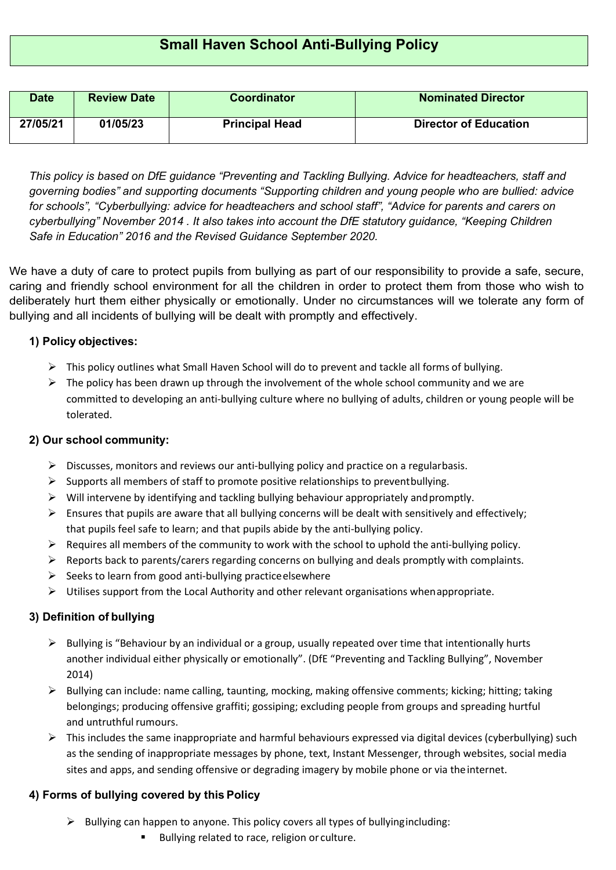| <b>Date</b> | <b>Review Date</b> | <b>Coordinator</b>    | <b>Nominated Director</b>    |
|-------------|--------------------|-----------------------|------------------------------|
| 27/05/21    | 01/05/23           | <b>Principal Head</b> | <b>Director of Education</b> |

*This policy is based on DfE guidance "Preventing and Tackling Bullying. Advice for headteachers, staff and governing bodies" and supporting documents ["Supporting children and young people who are bullied: advice](https://www.gov.uk/government/uploads/system/uploads/attachment_data/file/368135/supporting_bullied_children_factsheet_october2014.pdf) [for schools"](https://www.gov.uk/government/uploads/system/uploads/attachment_data/file/368135/supporting_bullied_children_factsheet_october2014.pdf), ["Cyberbullying: advice for headteachers and school staff"](https://www.gov.uk/government/uploads/system/uploads/attachment_data/file/374850/Cyberbullying_Advice_for_Headteachers_and_School_Staff_121114.pdf), ["Advice for parents and carers on](https://www.gov.uk/government/uploads/system/uploads/attachment_data/file/375420/Advice_for_Parents_on_Cyberbullying_131114.pdf) [cyberbullying"](https://www.gov.uk/government/uploads/system/uploads/attachment_data/file/375420/Advice_for_Parents_on_Cyberbullying_131114.pdf) November 2014 . It also takes into account the DfE statutory guidance, "Keeping Children Safe in Education" 2016 and the Revised Guidance September 2020.*

We have a duty of care to protect pupils from bullying as part of our responsibility to provide a safe, secure, caring and friendly school environment for all the children in order to protect them from those who wish to deliberately hurt them either physically or emotionally. Under no circumstances will we tolerate any form of bullying and all incidents of bullying will be dealt with promptly and effectively.

# **1) Policy objectives:**

- $\triangleright$  This policy outlines what Small Haven School will do to prevent and tackle all forms of bullying.
- $\triangleright$  The policy has been drawn up through the involvement of the whole school community and we are committed to developing an anti-bullying culture where no bullying of adults, children or young people will be tolerated.

# **2) Our school community:**

- $\triangleright$  Discusses, monitors and reviews our anti-bullying policy and practice on a regularbasis.
- $\triangleright$  Supports all members of staff to promote positive relationships to preventbullying.
- $\triangleright$  Will intervene by identifying and tackling bullying behaviour appropriately and promptly.
- $\triangleright$  Ensures that pupils are aware that all bullying concerns will be dealt with sensitively and effectively; that pupils feel safe to learn; and that pupils abide by the anti-bullying policy.
- $\triangleright$  Requires all members of the community to work with the school to uphold the anti-bullying policy.
- $\triangleright$  Reports back to parents/carers regarding concerns on bullying and deals promptly with complaints.
- $\triangleright$  Seeks to learn from good anti-bullying practice elsewhere
- $\triangleright$  Utilises support from the Local Authority and other relevant organisations whenappropriate.

# **3) Definition of bullying**

- $\triangleright$  Bullying is "Behaviour by an individual or a group, usually repeated over time that intentionally hurts another individual either physically or emotionally". (DfE "Preventing and Tackling Bullying", November 2014)
- $\triangleright$  Bullying can include: name calling, taunting, mocking, making offensive comments; kicking; hitting; taking belongings; producing offensive graffiti; gossiping; excluding people from groups and spreading hurtful and untruthful rumours.
- $\triangleright$  This includes the same inappropriate and harmful behaviours expressed via digital devices (cyberbullying) such as the sending of inappropriate messages by phone, text, Instant Messenger, through websites, social media sites and apps, and sending offensive or degrading imagery by mobile phone or via theinternet.

# **4) Forms of bullying covered by this Policy**

- $\triangleright$  Bullying can happen to anyone. This policy covers all types of bullyingincluding:
	- Bullying related to race, religion or culture.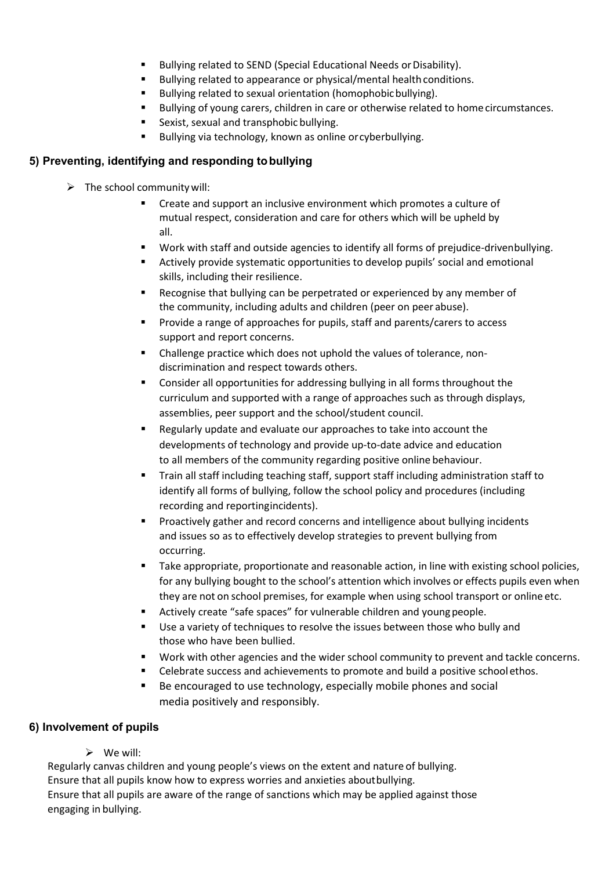- Bullying related to SEND (Special Educational Needs or Disability).
- Bullying related to appearance or physical/mental health conditions.
- Bullying related to sexual orientation (homophobic bullying).
- Bullying of young carers, children in care or otherwise related to home circumstances.
- **Sexist, sexual and transphobic bullying.**
- Bullying via technology, known as online or cyberbullying.

# **5) Preventing, identifying and responding tobullying**

- $\triangleright$  The school community will:
	- Create and support an inclusive environment which promotes a culture of mutual respect, consideration and care for others which will be upheld by all.
	- Work with staff and outside agencies to identify all forms of prejudice-drivenbullying.
	- Actively provide systematic opportunities to develop pupils' social and emotional skills, including their resilience.
	- Recognise that bullying can be perpetrated or experienced by any member of the community, including adults and children (peer on peer abuse).
	- **Provide a range of approaches for pupils, staff and parents/carers to access** support and report concerns.
	- Challenge practice which does not uphold the values of tolerance, nondiscrimination and respect towards others.
	- **EXP** Consider all opportunities for addressing bullying in all forms throughout the curriculum and supported with a range of approaches such as through displays, assemblies, peer support and the school/student council.
	- Regularly update and evaluate our approaches to take into account the developments of technology and provide up-to-date advice and education to all members of the community regarding positive online behaviour.
	- Train all staff including teaching staff, support staff including administration staff to identify all forms of bullying, follow the school policy and procedures (including recording and reportingincidents).
	- **Proactively gather and record concerns and intelligence about bullying incidents** and issues so as to effectively develop strategies to prevent bullying from occurring.
	- Take appropriate, proportionate and reasonable action, in line with existing school policies, for any bullying bought to the school's attention which involves or effects pupils even when they are not on school premises, for example when using school transport or online etc.
	- Actively create "safe spaces" for vulnerable children and youngpeople.
	- Use a variety of techniques to resolve the issues between those who bully and those who have been bullied.
	- Work with other agencies and the wider school community to prevent and tackle concerns.
	- **EXECEDER 1** Celebrate success and achievements to promote and build a positive schoolethos.
	- Be encouraged to use technology, especially mobile phones and social media positively and responsibly.

# **6) Involvement of pupils**

We will:

Regularly canvas children and young people's views on the extent and nature of bullying. Ensure that all pupils know how to express worries and anxieties aboutbullying. Ensure that all pupils are aware of the range of sanctions which may be applied against those engaging in bullying.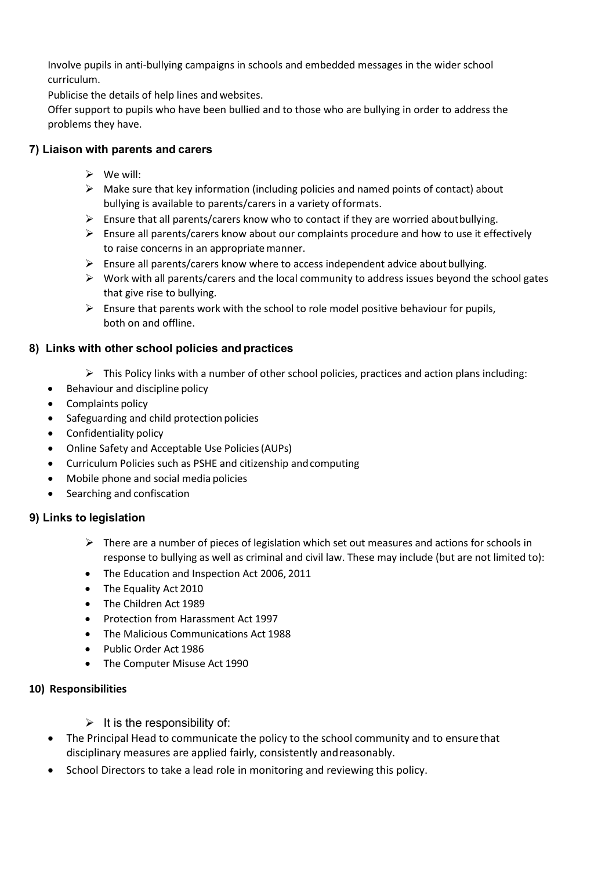Involve pupils in anti-bullying campaigns in schools and embedded messages in the wider school curriculum.

Publicise the details of help lines and websites.

Offer support to pupils who have been bullied and to those who are bullying in order to address the problems they have.

## **7) Liaison with parents and carers**

- $\triangleright$  We will:
- $\triangleright$  Make sure that key information (including policies and named points of contact) about bullying is available to parents/carers in a variety offormats.
- $\triangleright$  Ensure that all parents/carers know who to contact if they are worried aboutbullying.
- Ensure all parents/carers know about our complaints procedure and how to use it effectively to raise concerns in an appropriatemanner.
- $\triangleright$  Ensure all parents/carers know where to access independent advice about bullying.
- $\triangleright$  Work with all parents/carers and the local community to address issues beyond the school gates that give rise to bullying.
- $\triangleright$  Ensure that parents work with the school to role model positive behaviour for pupils, both on and offline.

# **8) Links with other school policies and practices**

- $\triangleright$  This Policy links with a number of other school policies, practices and action plans including:
- Behaviour and discipline policy
- Complaints policy
- Safeguarding and child protection policies
- Confidentiality policy
- Online Safety and Acceptable Use Policies(AUPs)
- Curriculum Policies such as PSHE and citizenship andcomputing
- Mobile phone and social media policies
- Searching and confiscation

# **9) Links to legislation**

- $\triangleright$  There are a number of pieces of legislation which set out measures and actions for schools in response to bullying as well as criminal and civil law. These may include (but are not limited to):
- The Education and Inspection Act 2006, 2011
- The Equality Act 2010
- The Children Act 1989
- Protection from Harassment Act 1997
- The Malicious Communications Act 1988
- Public Order Act 1986
- The Computer Misuse Act 1990

## **10) Responsibilities**

- $\triangleright$  It is the responsibility of:
- The Principal Head to communicate the policy to the school community and to ensure that disciplinary measures are applied fairly, consistently andreasonably.
- School Directors to take a lead role in monitoring and reviewing this policy.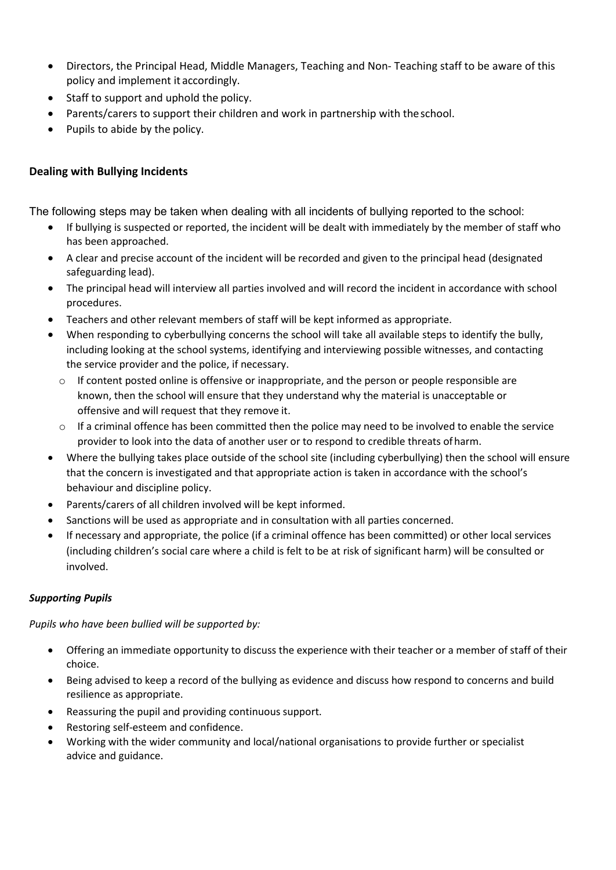- Directors, the Principal Head, Middle Managers, Teaching and Non- Teaching staff to be aware of this policy and implement it accordingly.
- Staff to support and uphold the policy.
- Parents/carers to support their children and work in partnership with theschool.
- Pupils to abide by the policy.

# **Dealing with Bullying Incidents**

The following steps may be taken when dealing with all incidents of bullying reported to the school:

- If bullying is suspected or reported, the incident will be dealt with immediately by the member of staff who has been approached.
- A clear and precise account of the incident will be recorded and given to the principal head (designated safeguarding lead).
- The principal head will interview all parties involved and will record the incident in accordance with school procedures.
- Teachers and other relevant members of staff will be kept informed as appropriate.
- When responding to cyberbullying concerns the school will take all available steps to identify the bully, including looking at the school systems, identifying and interviewing possible witnesses, and contacting the service provider and the police, if necessary.
	- $\circ$  If content posted online is offensive or inappropriate, and the person or people responsible are known, then the school will ensure that they understand why the material is unacceptable or offensive and will request that they remove it.
	- $\circ$  If a criminal offence has been committed then the police may need to be involved to enable the service provider to look into the data of another user or to respond to credible threats ofharm.
- Where the bullying takes place outside of the school site (including cyberbullying) then the school will ensure that the concern is investigated and that appropriate action is taken in accordance with the school's behaviour and discipline policy.
- Parents/carers of all children involved will be kept informed.
- Sanctions will be used as appropriate and in consultation with all parties concerned.
- If necessary and appropriate, the police (if a criminal offence has been committed) or other local services (including children's social care where a child is felt to be at risk of significant harm) will be consulted or involved.

## *Supporting Pupils*

*Pupils who have been bullied will be supported by:*

- Offering an immediate opportunity to discuss the experience with their teacher or a member of staff of their choice.
- Being advised to keep a record of the bullying as evidence and discuss how respond to concerns and build resilience as appropriate.
- Reassuring the pupil and providing continuous support.
- Restoring self-esteem and confidence.
- Working with the wider community and local/national organisations to provide further or specialist advice and guidance.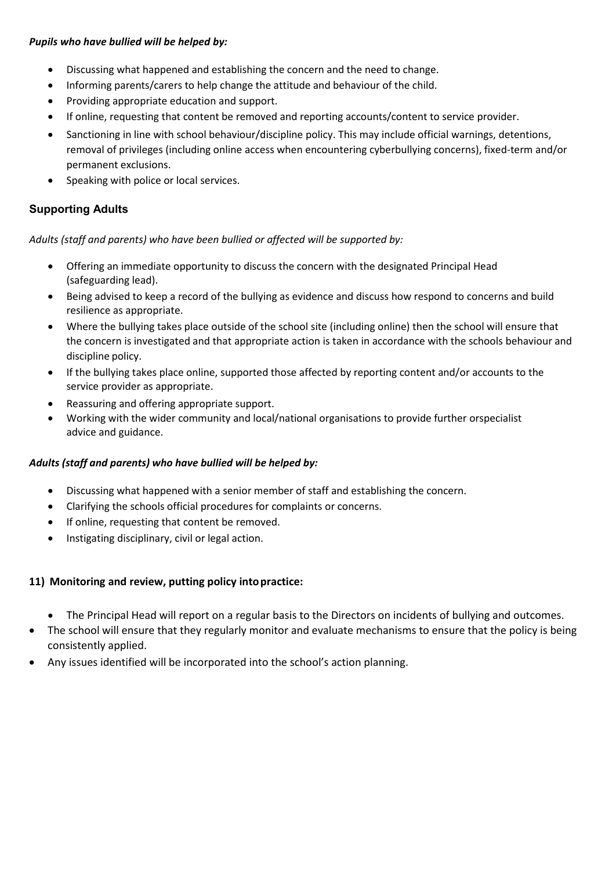#### *Pupils who have bullied will be helped by:*

- Discussing what happened and establishing the concern and the need to change.
- Informing parents/carers to help change the attitude and behaviour of the child.
- Providing appropriate education and support.
- If online, requesting that content be removed and reporting accounts/content to service provider.
- Sanctioning in line with school behaviour/discipline policy. This may include official warnings, detentions, removal of privileges (including online access when encountering cyberbullying concerns), fixed-term and/or permanent exclusions.
- Speaking with police or local services.

# **Supporting Adults**

*Adults (staff and parents) who have been bullied or affected will be supported by:*

- Offering an immediate opportunity to discuss the concern with the designated Principal Head (safeguarding lead).
- Being advised to keep a record of the bullying as evidence and discuss how respond to concerns and build resilience as appropriate.
- Where the bullying takes place outside of the school site (including online) then the school will ensure that the concern is investigated and that appropriate action is taken in accordance with the schools behaviour and discipline policy.
- If the bullying takes place online, supported those affected by reporting content and/or accounts to the service provider as appropriate.
- Reassuring and offering appropriate support.
- Working with the wider community and local/national organisations to provide further orspecialist advice and guidance.

## *Adults (staff and parents) who have bullied will be helped by:*

- Discussing what happened with a senior member of staff and establishing the concern.
- Clarifying the schools official procedures for complaints or concerns.
- If online, requesting that content be removed.
- Instigating disciplinary, civil or legal action.

# **11) Monitoring and review, putting policy intopractice:**

- The Principal Head will report on a regular basis to the Directors on incidents of bullying and outcomes.
- The school will ensure that they regularly monitor and evaluate mechanisms to ensure that the policy is being consistently applied.
- Any issues identified will be incorporated into the school's action planning.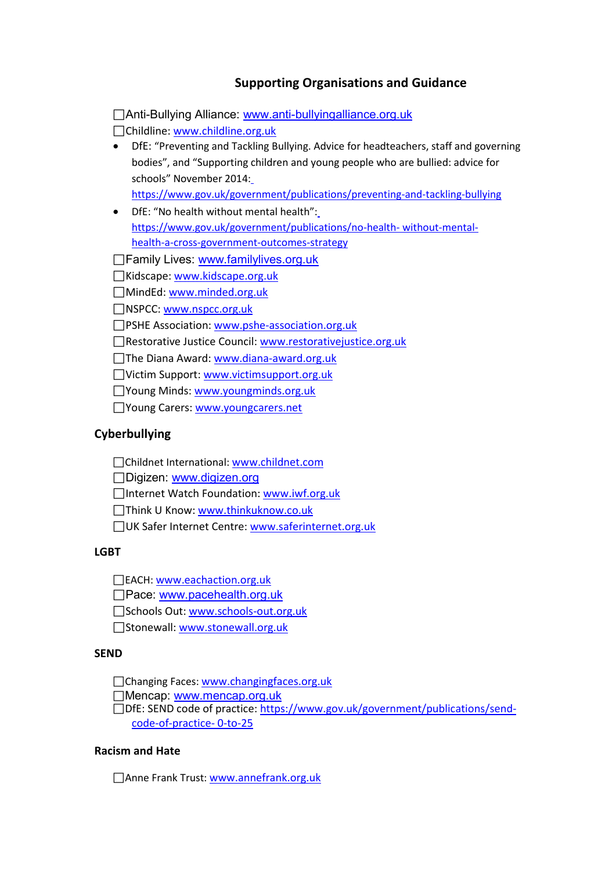# **Supporting Organisations and Guidance**

| _Anti-Bullying Alliance: <u>www.anti-bullyingalliance.org.uk</u>                     |  |  |
|--------------------------------------------------------------------------------------|--|--|
| Childline: www.childline.org.uk                                                      |  |  |
| DfE: "Preventing and Tackling Bullying. Advice for headteachers, staff and governing |  |  |
| bodies", and "Supporting children and young people who are bullied: advice for       |  |  |
| schools" November 2014:                                                              |  |  |
| https://www.gov.uk/government/publications/preventing-and-tackling-bullying          |  |  |
| DfE: "No health without mental health":                                              |  |  |
| https://www.gov.uk/government/publications/no-health-without-mental-                 |  |  |
| health-a-cross-government-outcomes-strategy                                          |  |  |
| ∏Family Lives: <u>www.familylives.org.uk</u>                                         |  |  |
| Kidscape: www.kidscape.org.uk                                                        |  |  |
| MindEd: www.minded.org.uk                                                            |  |  |
| NSPCC: www.nspcc.org.uk                                                              |  |  |
| PSHE Association: www.pshe-association.org.uk                                        |  |  |
| Restorative Justice Council: www.restorativejustice.org.uk                           |  |  |
| The Diana Award: www.diana-award.org.uk                                              |  |  |
| Victim Support: www.victimsupport.org.uk                                             |  |  |
| □ Young Minds: www.youngminds.org.uk                                                 |  |  |
| Young Carers: www.youngcarers.net                                                    |  |  |
| <b>Cyberbullying</b>                                                                 |  |  |
| Childnet International: www.childnet.com                                             |  |  |

□Digizen: [www.digizen.org](http://www.digizen.org/)

□Internet Watch Foundation: [www.iwf.org.uk](http://www.iwf.org.uk/)

Think U Know: [www.thinkuknow.co.uk](http://www.thinkuknow.co.uk/)

□ UK Safer Internet Centre: [www.saferinternet.org.uk](http://www.saferinternet.org.uk/)

## **LGBT**

EACH[: www.eachaction.org.uk](http://www.eachaction.org.uk/)

□Pace: [www.pacehealth.org.uk](http://www.pacehealth.org.uk/)

Schools Out[: www.schools-out.org.uk](http://www.schools-out.org.uk/)

Stonewall: [www.stonewall.org.uk](http://www.stonewall.org.uk/)

## **SEND**

Changing Faces: [www.changingfaces.org.uk](http://www.changingfaces.org.uk/)

Mencap: [www.mencap.org.uk](http://www.mencap.org.uk/)

DfE: SEND code of practice: [https://www.gov.uk/government/publications/send](https://www.gov.uk/government/publications/send-code-of-practice-0-to-25)[code-of-practice-](https://www.gov.uk/government/publications/send-code-of-practice-0-to-25) [0-to-25](https://www.gov.uk/government/publications/send-code-of-practice-0-to-25)

#### **Racism and Hate**

□Anne Frank Trust[: www.annefrank.org.uk](http://www.annefrank.org.uk/)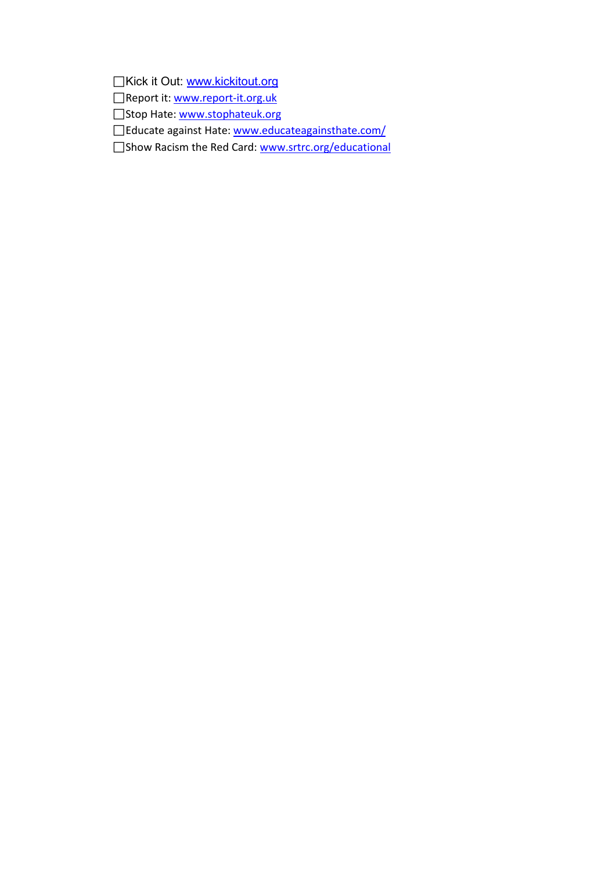□Kick it Out: [www.kickitout.org](http://www.kickitout.org/)

Report it: [www.report-it.org.uk](http://www.report-it.org.uk/)

Stop Hate: [www.stophateuk.org](http://www.stophateuk.org/)

□Educate against Hate[: www.educateagainsthate.com/](http://www.educateagainsthate.com/)

□Show Racism the Red Card: [www.srtrc.org/educational](http://www.srtrc.org/educational)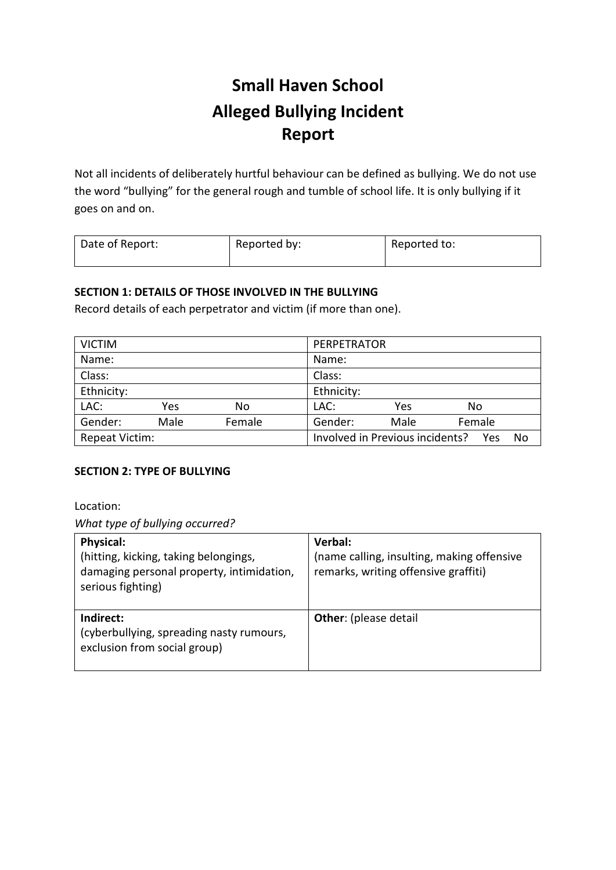# **Small Haven School Alleged Bullying Incident Report**

Not all incidents of deliberately hurtful behaviour can be defined as bullying. We do not use the word "bullying" for the general rough and tumble of school life. It is only bullying if it goes on and on.

| Date of Report:<br>Reported by:<br>Reported to: |  |
|-------------------------------------------------|--|
|-------------------------------------------------|--|

## **SECTION 1: DETAILS OF THOSE INVOLVED IN THE BULLYING**

Record details of each perpetrator and victim (if more than one).

| <b>VICTIM</b>  |      |        | PERPETRATOR                     |      |        |    |
|----------------|------|--------|---------------------------------|------|--------|----|
| Name:          |      |        | Name:                           |      |        |    |
| Class:         |      |        | Class:                          |      |        |    |
| Ethnicity:     |      |        | Ethnicity:                      |      |        |    |
| LAC:           | Yes  | No     | LAC:                            | Yes  | No     |    |
| Gender:        | Male | Female | Gender:                         | Male | Female |    |
| Repeat Victim: |      |        | Involved in Previous incidents? |      | - Yes  | No |

## **SECTION 2: TYPE OF BULLYING**

Location:

*What type of bullying occurred?*

| <b>Physical:</b><br>(hitting, kicking, taking belongings,<br>damaging personal property, intimidation,<br>serious fighting) | Verbal:<br>(name calling, insulting, making offensive<br>remarks, writing offensive graffiti) |
|-----------------------------------------------------------------------------------------------------------------------------|-----------------------------------------------------------------------------------------------|
| Indirect:<br>(cyberbullying, spreading nasty rumours,<br>exclusion from social group)                                       | <b>Other:</b> (please detail                                                                  |